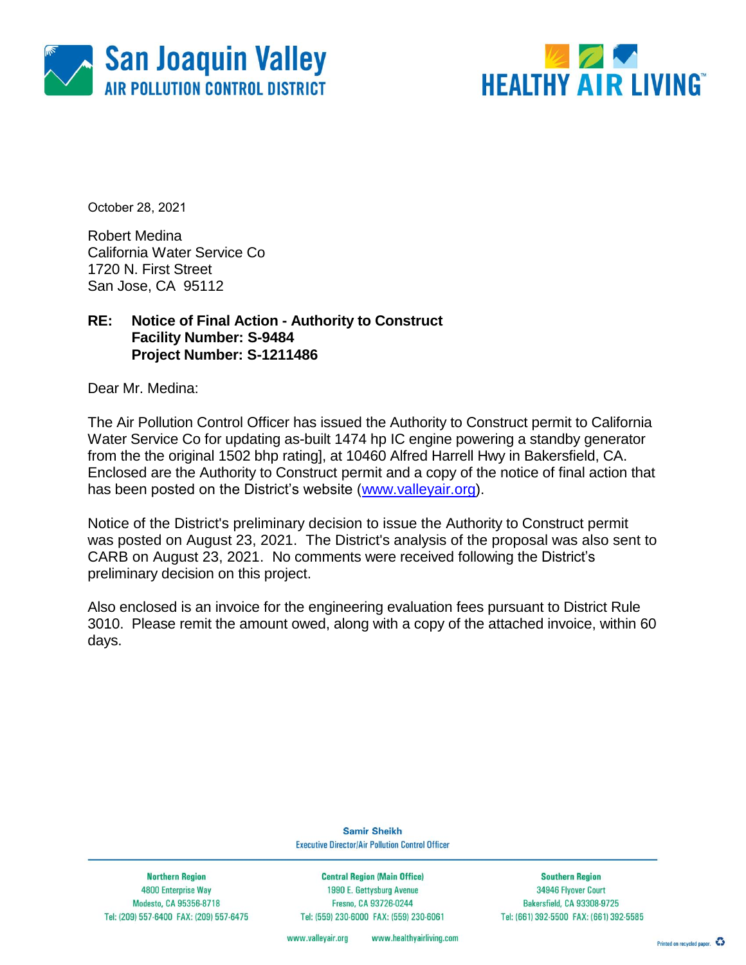



October 28, 2021

Robert Medina California Water Service Co 1720 N. First Street San Jose, CA 95112

### **RE: Notice of Final Action - Authority to Construct Facility Number: S-9484 Project Number: S-1211486**

Dear Mr. Medina:

The Air Pollution Control Officer has issued the Authority to Construct permit to California Water Service Co for updating as-built 1474 hp IC engine powering a standby generator from the the original 1502 bhp rating], at 10460 Alfred Harrell Hwy in Bakersfield, CA. Enclosed are the Authority to Construct permit and a copy of the notice of final action that has been posted on the District's website [\(www.valleyair.org\)](http://www.valleyair.org/).

Notice of the District's preliminary decision to issue the Authority to Construct permit was posted on August 23, 2021. The District's analysis of the proposal was also sent to CARB on August 23, 2021. No comments were received following the District's preliminary decision on this project.

Also enclosed is an invoice for the engineering evaluation fees pursuant to District Rule 3010. Please remit the amount owed, along with a copy of the attached invoice, within 60 days.

> **Samir Sheikh Executive Director/Air Pollution Control Officer**

**Northern Region** 4800 Enterprise Way Modesto, CA 95356-8718 Tel: (209) 557-6400 FAX: (209) 557-6475

**Central Region (Main Office)** 1990 E. Gettysburg Avenue Fresno, CA 93726-0244 Tel: (559) 230-6000 FAX: (559) 230-6061

**Southern Region** 34946 Flyover Court Bakersfield, CA 93308-9725 Tel: (661) 392-5500 FAX: (661) 392-5585

www.valleyair.org www.healthyairliving.com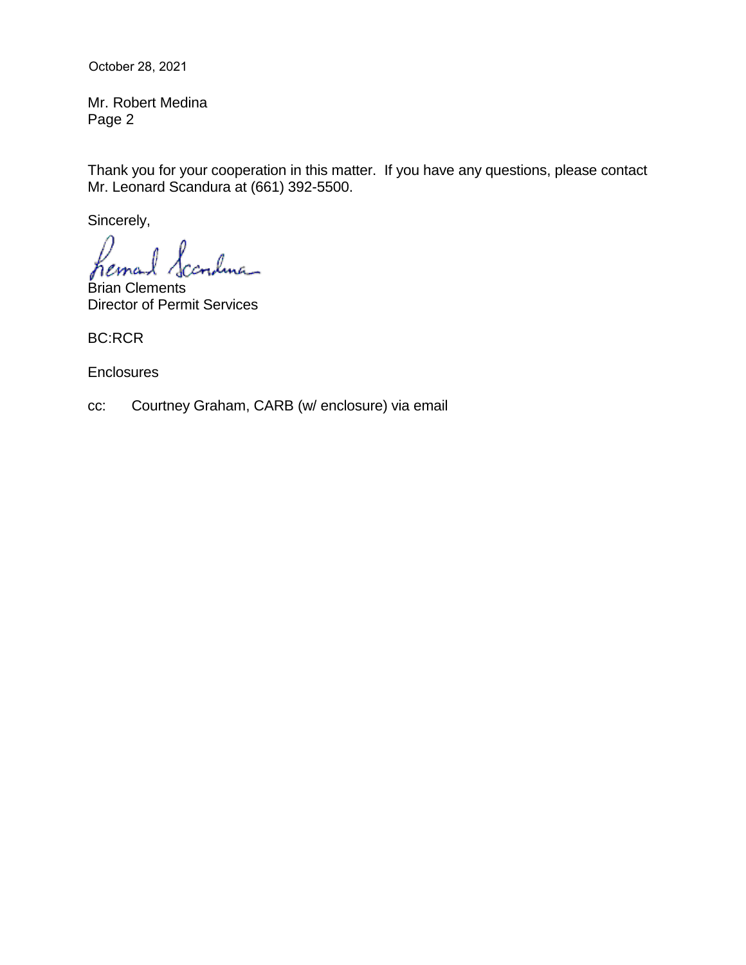October 28, 2021

Mr. Robert Medina Page 2

Thank you for your cooperation in this matter. If you have any questions, please contact Mr. Leonard Scandura at (661) 392-5500.

Sincerely,

ıdına\_

Brian Clements Director of Permit Services

BC:RCR

**Enclosures** 

cc: Courtney Graham, CARB (w/ enclosure) via email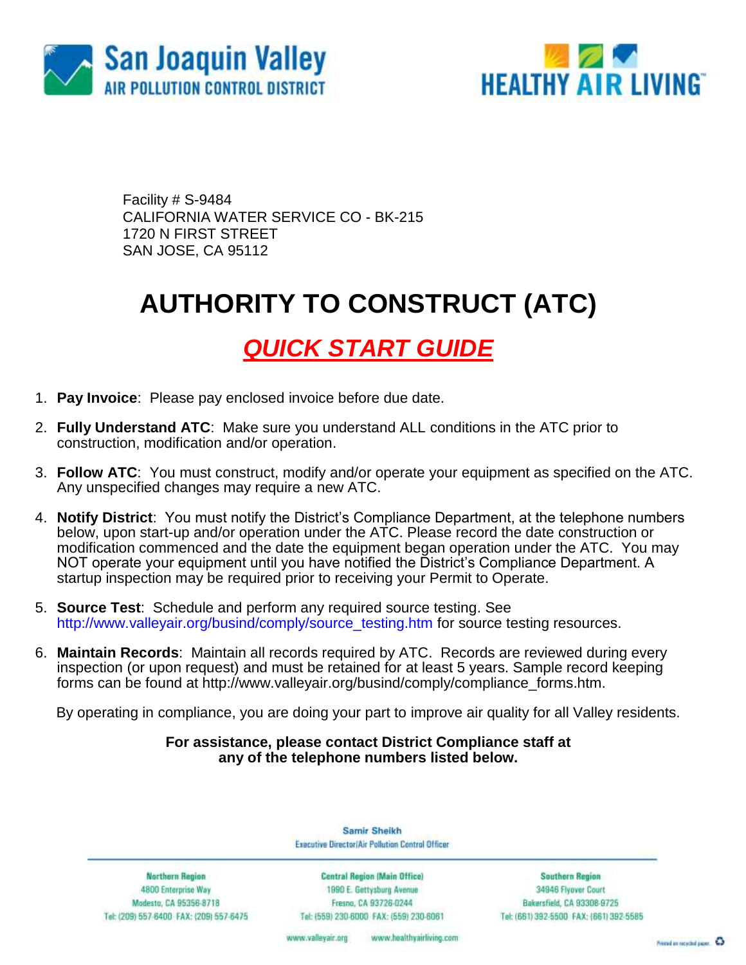



Facility # S-9484 CALIFORNIA WATER SERVICE CO - BK-215 1720 N FIRST STREET SAN JOSE, CA 95112

# **AUTHORITY TO CONSTRUCT (ATC)**

### *QUICK START GUIDE*

- 1. **Pay Invoice**: Please pay enclosed invoice before due date.
- 2. **Fully Understand ATC**: Make sure you understand ALL conditions in the ATC prior to construction, modification and/or operation.
- 3. **Follow ATC**: You must construct, modify and/or operate your equipment as specified on the ATC. Any unspecified changes may require a new ATC.
- 4. **Notify District**: You must notify the District's Compliance Department, at the telephone numbers below, upon start-up and/or operation under the ATC. Please record the date construction or modification commenced and the date the equipment began operation under the ATC. You may NOT operate your equipment until you have notified the District's Compliance Department. A startup inspection may be required prior to receiving your Permit to Operate.
- 5. **Source Test**: Schedule and perform any required source testing. See [http://www.valleyair.org/busind/comply/source\\_testing.htm](http://www.valleyair.org/busind/comply/source_testing.htm) for source testing resources.
- 6. **Maintain Records**:Maintain all records required by ATC. Records are reviewed during every inspection (or upon request) and must be retained for at least 5 years. Sample record keeping forms can be found at http://www.valleyair.org/busind/comply/compliance\_forms.htm.

By operating in compliance, you are doing your part to improve air quality for all Valley residents.

#### **For assistance, please contact District Compliance staff at any of the telephone numbers listed below.**

Samir Sheikh Executive Director/Air Pollution Control Officer

**Northern Region** 4800 Enterprise Way Modesto, CA 95356-8718 Tel: (209) 557-6400 FAX: (209) 557-6475

Central Region (Main Office) 1990 E. Gettysburg Avenue Fresna, CA 93726-0244 Tel: (559) 230-6000 FAX: (559) 230-6061

**Southern Region** 34946 Flyover Court Bakersfield, CA 93308-9725 Tel: (661) 392-5500 FAX: (661) 392-5585

www.bealthyairliving.com www.valleyair.org

Preced on recycled paper. 43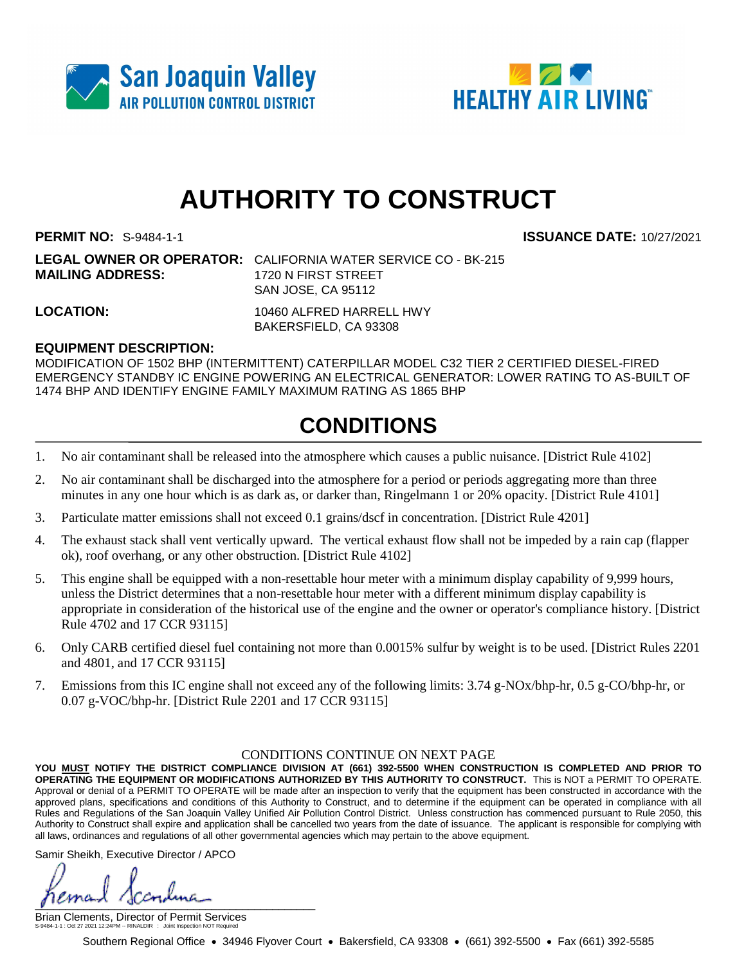



# **AUTHORITY TO CONSTRUCT**

**PERMIT NO:** S-9484-1-1 **ISSUANCE DATE:** 10/27/2021

**LEGAL OWNER OR OPERATOR:** CALIFORNIA WATER SERVICE CO - BK-215 **MAILING ADDRESS:** 1720 N FIRST STREET SAN JOSE, CA 95112

**LOCATION:** 10460 ALFRED HARRELL HWY BAKERSFIELD, CA 93308

### **EQUIPMENT DESCRIPTION:**

MODIFICATION OF 1502 BHP (INTERMITTENT) CATERPILLAR MODEL C32 TIER 2 CERTIFIED DIESEL-FIRED EMERGENCY STANDBY IC ENGINE POWERING AN ELECTRICAL GENERATOR: LOWER RATING TO AS-BUILT OF 1474 BHP AND IDENTIFY ENGINE FAMILY MAXIMUM RATING AS 1865 BHP

### **CONDITIONS**

- 1. No air contaminant shall be released into the atmosphere which causes a public nuisance. [District Rule 4102]
- 2. No air contaminant shall be discharged into the atmosphere for a period or periods aggregating more than three minutes in any one hour which is as dark as, or darker than, Ringelmann 1 or 20% opacity. [District Rule 4101]
- 3. Particulate matter emissions shall not exceed 0.1 grains/dscf in concentration. [District Rule 4201]
- 4. The exhaust stack shall vent vertically upward. The vertical exhaust flow shall not be impeded by a rain cap (flapper ok), roof overhang, or any other obstruction. [District Rule 4102]
- 5. This engine shall be equipped with a non-resettable hour meter with a minimum display capability of 9,999 hours, unless the District determines that a non-resettable hour meter with a different minimum display capability is appropriate in consideration of the historical use of the engine and the owner or operator's compliance history. [District Rule 4702 and 17 CCR 93115]
- 6. Only CARB certified diesel fuel containing not more than 0.0015% sulfur by weight is to be used. [District Rules 2201 and 4801, and 17 CCR 93115]
- 7. Emissions from this IC engine shall not exceed any of the following limits: 3.74 g-NOx/bhp-hr, 0.5 g-CO/bhp-hr, or 0.07 g-VOC/bhp-hr. [District Rule 2201 and 17 CCR 93115]

#### CONDITIONS CONTINUE ON NEXT PAGE

**YOU MUST NOTIFY THE DISTRICT COMPLIANCE DIVISION AT (661) 392-5500 WHEN CONSTRUCTION IS COMPLETED AND PRIOR TO OPERATING THE EQUIPMENT OR MODIFICATIONS AUTHORIZED BY THIS AUTHORITY TO CONSTRUCT.** This is NOT a PERMIT TO OPERATE. Approval or denial of a PERMIT TO OPERATE will be made after an inspection to verify that the equipment has been constructed in accordance with the approved plans, specifications and conditions of this Authority to Construct, and to determine if the equipment can be operated in compliance with all Rules and Regulations of the San Joaquin Valley Unified Air Pollution Control District. Unless construction has commenced pursuant to Rule 2050, this Authority to Construct shall expire and application shall be cancelled two years from the date of issuance. The applicant is responsible for complying with all laws, ordinances and regulations of all other governmental agencies which may pertain to the above equipment.

Samir Sheikh, Executive Director / APCO

 $\int$ 

Brian Clements, Director of Permit Services S-9484-1-1 : Oct 27 2021 12:24PM -- RINALDIR : Joint Inspection NOT Required

Southern Regional Office • 34946 Flyover Court • Bakersfield, CA 93308 • (661) 392-5500 • Fax (661) 392-5585